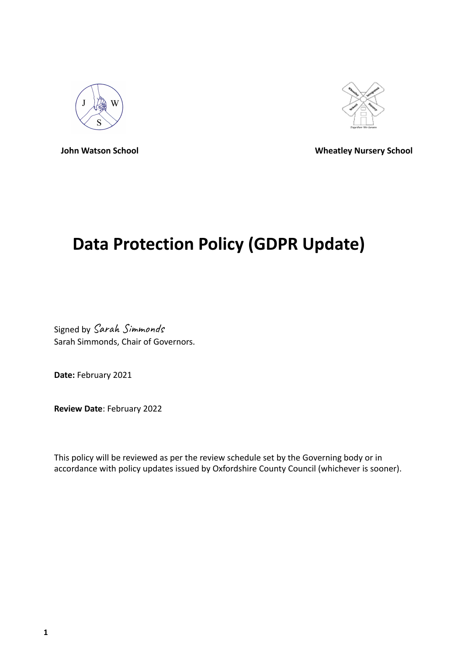



**John Watson School Wheatley Nursery School**

# **Data Protection Policy (GDPR Update)**

Signed by Sarah Simmonds Sarah Simmonds, Chair of Governors.

**Date:** February 2021

**Review Date**: February 2022

This policy will be reviewed as per the review schedule set by the Governing body or in accordance with policy updates issued by Oxfordshire County Council (whichever is sooner).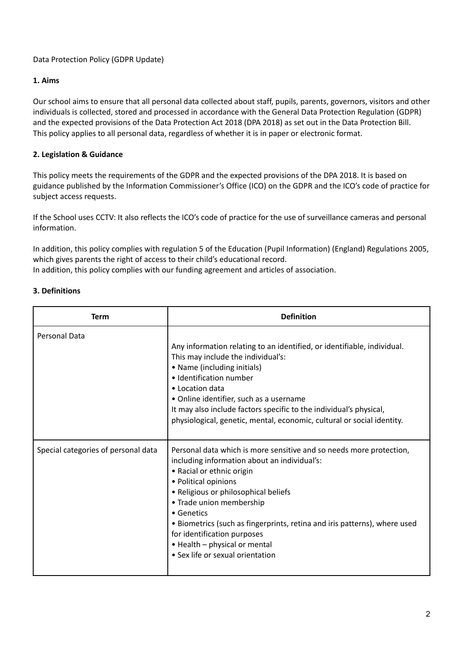# Data Protection Policy (GDPR Update)

# **1. Aims**

Our school aims to ensure that all personal data collected about staff, pupils, parents, governors, visitors and other individuals is collected, stored and processed in accordance with the General Data Protection Regulation (GDPR) and the expected provisions of the Data Protection Act 2018 (DPA 2018) as set out in the Data Protection Bill. This policy applies to all personal data, regardless of whether it is in paper or electronic format.

# **2. Legislation & Guidance**

This policy meets the requirements of the GDPR and the expected provisions of the DPA 2018. It is based on guidance published by the Information Commissioner's Office (ICO) on the GDPR and the ICO's code of practice for subject access requests.

If the School uses CCTV: It also reflects the ICO's code of practice for the use of surveillance cameras and personal information.

In addition, this policy complies with regulation 5 of the Education (Pupil Information) (England) Regulations 2005, which gives parents the right of access to their child's educational record. In addition, this policy complies with our funding agreement and articles of association.

## **3. Definitions**

| Term                                | <b>Definition</b>                                                                                                                                                                                                                                                                                                                                                                                                                           |
|-------------------------------------|---------------------------------------------------------------------------------------------------------------------------------------------------------------------------------------------------------------------------------------------------------------------------------------------------------------------------------------------------------------------------------------------------------------------------------------------|
| <b>Personal Data</b>                | Any information relating to an identified, or identifiable, individual.<br>This may include the individual's:<br>• Name (including initials)<br>· Identification number<br>• Location data<br>• Online identifier, such as a username<br>It may also include factors specific to the individual's physical,<br>physiological, genetic, mental, economic, cultural or social identity.                                                       |
| Special categories of personal data | Personal data which is more sensitive and so needs more protection,<br>including information about an individual's:<br>• Racial or ethnic origin<br>• Political opinions<br>• Religious or philosophical beliefs<br>• Trade union membership<br>• Genetics<br>• Biometrics (such as fingerprints, retina and iris patterns), where used<br>for identification purposes<br>• Health - physical or mental<br>• Sex life or sexual orientation |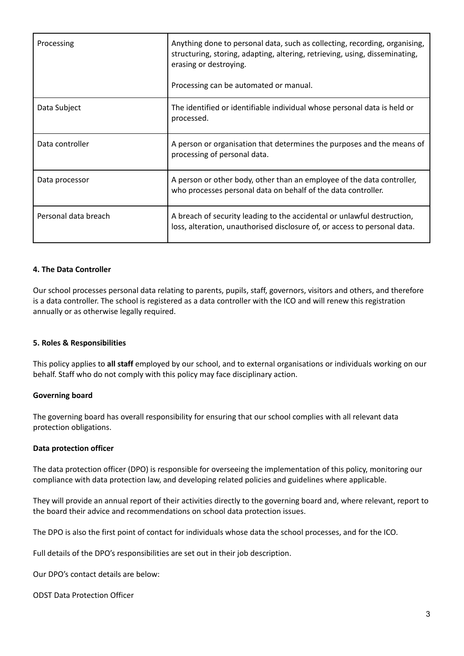| Processing           | Anything done to personal data, such as collecting, recording, organising,<br>structuring, storing, adapting, altering, retrieving, using, disseminating,<br>erasing or destroying.<br>Processing can be automated or manual. |
|----------------------|-------------------------------------------------------------------------------------------------------------------------------------------------------------------------------------------------------------------------------|
|                      |                                                                                                                                                                                                                               |
| Data Subject         | The identified or identifiable individual whose personal data is held or<br>processed.                                                                                                                                        |
| Data controller      | A person or organisation that determines the purposes and the means of<br>processing of personal data.                                                                                                                        |
| Data processor       | A person or other body, other than an employee of the data controller,<br>who processes personal data on behalf of the data controller.                                                                                       |
| Personal data breach | A breach of security leading to the accidental or unlawful destruction,<br>loss, alteration, unauthorised disclosure of, or access to personal data.                                                                          |

## **4. The Data Controller**

Our school processes personal data relating to parents, pupils, staff, governors, visitors and others, and therefore is a data controller. The school is registered as a data controller with the ICO and will renew this registration annually or as otherwise legally required.

#### **5. Roles & Responsibilities**

This policy applies to **all staff** employed by our school, and to external organisations or individuals working on our behalf. Staff who do not comply with this policy may face disciplinary action.

#### **Governing board**

The governing board has overall responsibility for ensuring that our school complies with all relevant data protection obligations.

#### **Data protection officer**

The data protection officer (DPO) is responsible for overseeing the implementation of this policy, monitoring our compliance with data protection law, and developing related policies and guidelines where applicable.

They will provide an annual report of their activities directly to the governing board and, where relevant, report to the board their advice and recommendations on school data protection issues.

The DPO is also the first point of contact for individuals whose data the school processes, and for the ICO.

Full details of the DPO's responsibilities are set out in their job description.

Our DPO's contact details are below:

ODST Data Protection Officer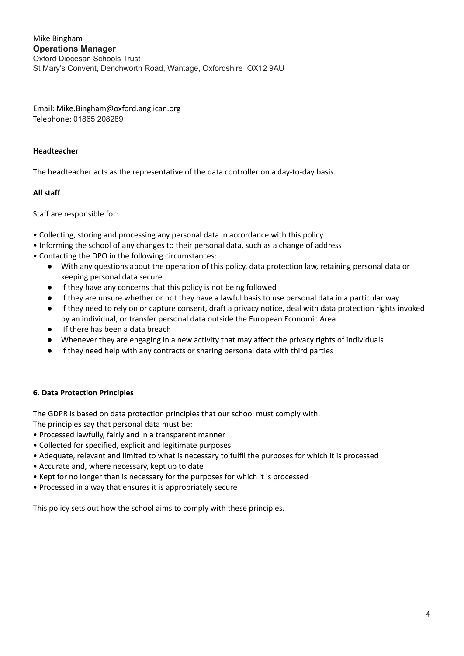Mike Bingham **Operations Manager** Oxford Diocesan Schools Trust St Mary's Convent, Denchworth Road, Wantage, Oxfordshire OX12 9AU

Email: Mike.Bingham@oxford.anglican.org Telephone: 01865 208289

## **Headteacher**

The headteacher acts as the representative of the data controller on a day-to-day basis.

## **All staff**

Staff are responsible for:

- Collecting, storing and processing any personal data in accordance with this policy
- Informing the school of any changes to their personal data, such as a change of address
- Contacting the DPO in the following circumstances:
	- With any questions about the operation of this policy, data protection law, retaining personal data or keeping personal data secure
	- If they have any concerns that this policy is not being followed
	- If they are unsure whether or not they have a lawful basis to use personal data in a particular way
	- If they need to rely on or capture consent, draft a privacy notice, deal with data protection rights invoked by an individual, or transfer personal data outside the European Economic Area
	- If there has been a data breach
	- Whenever they are engaging in a new activity that may affect the privacy rights of individuals
	- If they need help with any contracts or sharing personal data with third parties

## **6. Data Protection Principles**

The GDPR is based on data protection principles that our school must comply with.

The principles say that personal data must be:

- Processed lawfully, fairly and in a transparent manner
- Collected for specified, explicit and legitimate purposes
- Adequate, relevant and limited to what is necessary to fulfil the purposes for which it is processed
- Accurate and, where necessary, kept up to date
- Kept for no longer than is necessary for the purposes for which it is processed
- Processed in a way that ensures it is appropriately secure

This policy sets out how the school aims to comply with these principles.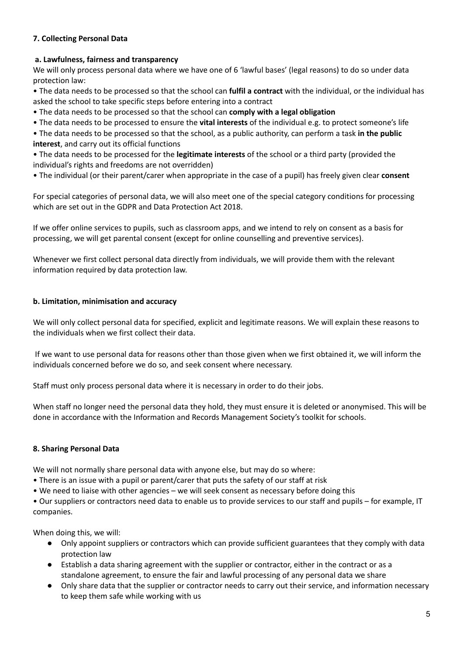# **7. Collecting Personal Data**

## **a. Lawfulness, fairness and transparency**

We will only process personal data where we have one of 6 'lawful bases' (legal reasons) to do so under data protection law:

• The data needs to be processed so that the school can **fulfil a contract** with the individual, or the individual has asked the school to take specific steps before entering into a contract

• The data needs to be processed so that the school can **comply with a legal obligation**

• The data needs to be processed to ensure the **vital interests** of the individual e.g. to protect someone's life

• The data needs to be processed so that the school, as a public authority, can perform a task **in the public interest**, and carry out its official functions

• The data needs to be processed for the **legitimate interests** of the school or a third party (provided the individual's rights and freedoms are not overridden)

• The individual (or their parent/carer when appropriate in the case of a pupil) has freely given clear **consent**

For special categories of personal data, we will also meet one of the special category conditions for processing which are set out in the GDPR and Data Protection Act 2018.

If we offer online services to pupils, such as classroom apps, and we intend to rely on consent as a basis for processing, we will get parental consent (except for online counselling and preventive services).

Whenever we first collect personal data directly from individuals, we will provide them with the relevant information required by data protection law.

## **b. Limitation, minimisation and accuracy**

We will only collect personal data for specified, explicit and legitimate reasons. We will explain these reasons to the individuals when we first collect their data.

If we want to use personal data for reasons other than those given when we first obtained it, we will inform the individuals concerned before we do so, and seek consent where necessary.

Staff must only process personal data where it is necessary in order to do their jobs.

When staff no longer need the personal data they hold, they must ensure it is deleted or anonymised. This will be done in accordance with the Information and Records Management Society's toolkit for schools.

## **8. Sharing Personal Data**

We will not normally share personal data with anyone else, but may do so where:

- There is an issue with a pupil or parent/carer that puts the safety of our staff at risk
- We need to liaise with other agencies we will seek consent as necessary before doing this

• Our suppliers or contractors need data to enable us to provide services to our staff and pupils – for example, IT companies.

When doing this, we will:

- Only appoint suppliers or contractors which can provide sufficient guarantees that they comply with data protection law
- Establish a data sharing agreement with the supplier or contractor, either in the contract or as a standalone agreement, to ensure the fair and lawful processing of any personal data we share
- Only share data that the supplier or contractor needs to carry out their service, and information necessary to keep them safe while working with us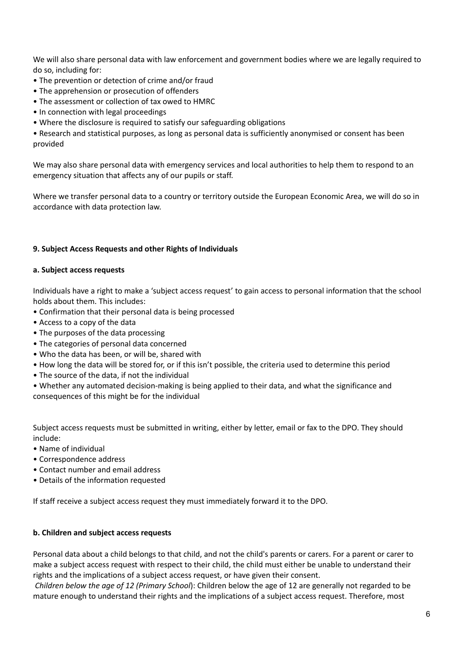We will also share personal data with law enforcement and government bodies where we are legally required to do so, including for:

- The prevention or detection of crime and/or fraud
- The apprehension or prosecution of offenders
- The assessment or collection of tax owed to HMRC
- In connection with legal proceedings
- Where the disclosure is required to satisfy our safeguarding obligations

• Research and statistical purposes, as long as personal data is sufficiently anonymised or consent has been provided

We may also share personal data with emergency services and local authorities to help them to respond to an emergency situation that affects any of our pupils or staff.

Where we transfer personal data to a country or territory outside the European Economic Area, we will do so in accordance with data protection law.

## **9. Subject Access Requests and other Rights of Individuals**

#### **a. Subject access requests**

Individuals have a right to make a 'subject access request' to gain access to personal information that the school holds about them. This includes:

- Confirmation that their personal data is being processed
- Access to a copy of the data
- The purposes of the data processing
- The categories of personal data concerned
- Who the data has been, or will be, shared with
- How long the data will be stored for, or if this isn't possible, the criteria used to determine this period
- The source of the data, if not the individual

• Whether any automated decision-making is being applied to their data, and what the significance and consequences of this might be for the individual

Subject access requests must be submitted in writing, either by letter, email or fax to the DPO. They should include:

- Name of individual
- Correspondence address
- Contact number and email address
- Details of the information requested

If staff receive a subject access request they must immediately forward it to the DPO.

#### **b. Children and subject access requests**

Personal data about a child belongs to that child, and not the child's parents or carers. For a parent or carer to make a subject access request with respect to their child, the child must either be unable to understand their rights and the implications of a subject access request, or have given their consent.

*Children below the age of 12 (Primary School*): Children below the age of 12 are generally not regarded to be mature enough to understand their rights and the implications of a subject access request. Therefore, most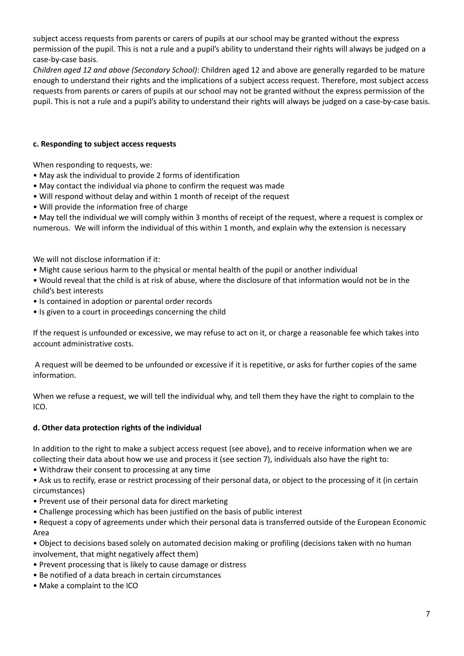subject access requests from parents or carers of pupils at our school may be granted without the express permission of the pupil. This is not a rule and a pupil's ability to understand their rights will always be judged on a case-by-case basis.

*Children aged 12 and above (Secondary School)*: Children aged 12 and above are generally regarded to be mature enough to understand their rights and the implications of a subject access request. Therefore, most subject access requests from parents or carers of pupils at our school may not be granted without the express permission of the pupil. This is not a rule and a pupil's ability to understand their rights will always be judged on a case-by-case basis.

# **c. Responding to subject access requests**

When responding to requests, we:

- May ask the individual to provide 2 forms of identification
- May contact the individual via phone to confirm the request was made
- Will respond without delay and within 1 month of receipt of the request
- Will provide the information free of charge

• May tell the individual we will comply within 3 months of receipt of the request, where a request is complex or numerous. We will inform the individual of this within 1 month, and explain why the extension is necessary

We will not disclose information if it:

- Might cause serious harm to the physical or mental health of the pupil or another individual
- Would reveal that the child is at risk of abuse, where the disclosure of that information would not be in the child's best interests
- Is contained in adoption or parental order records
- Is given to a court in proceedings concerning the child

If the request is unfounded or excessive, we may refuse to act on it, or charge a reasonable fee which takes into account administrative costs.

A request will be deemed to be unfounded or excessive if it is repetitive, or asks for further copies of the same information.

When we refuse a request, we will tell the individual why, and tell them they have the right to complain to the ICO.

## **d. Other data protection rights of the individual**

In addition to the right to make a subject access request (see above), and to receive information when we are collecting their data about how we use and process it (see section 7), individuals also have the right to:

- Withdraw their consent to processing at any time
- Ask us to rectify, erase or restrict processing of their personal data, or object to the processing of it (in certain circumstances)
- Prevent use of their personal data for direct marketing
- Challenge processing which has been justified on the basis of public interest

• Request a copy of agreements under which their personal data is transferred outside of the European Economic Area

• Object to decisions based solely on automated decision making or profiling (decisions taken with no human involvement, that might negatively affect them)

- Prevent processing that is likely to cause damage or distress
- Be notified of a data breach in certain circumstances
- Make a complaint to the ICO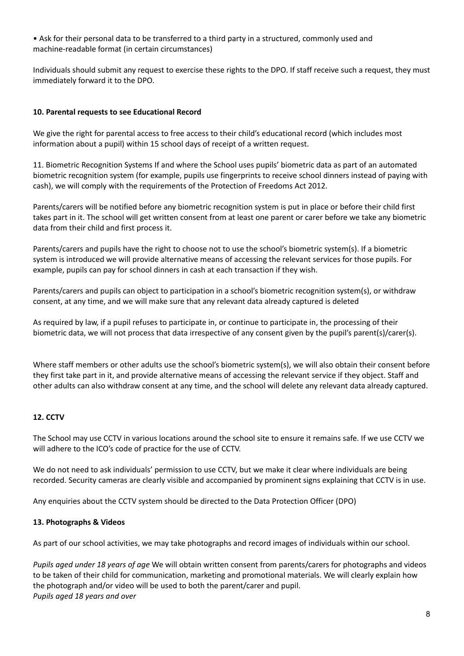• Ask for their personal data to be transferred to a third party in a structured, commonly used and machine-readable format (in certain circumstances)

Individuals should submit any request to exercise these rights to the DPO. If staff receive such a request, they must immediately forward it to the DPO.

## **10. Parental requests to see Educational Record**

We give the right for parental access to free access to their child's educational record (which includes most information about a pupil) within 15 school days of receipt of a written request.

11. Biometric Recognition Systems If and where the School uses pupils' biometric data as part of an automated biometric recognition system (for example, pupils use fingerprints to receive school dinners instead of paying with cash), we will comply with the requirements of the Protection of Freedoms Act 2012.

Parents/carers will be notified before any biometric recognition system is put in place or before their child first takes part in it. The school will get written consent from at least one parent or carer before we take any biometric data from their child and first process it.

Parents/carers and pupils have the right to choose not to use the school's biometric system(s). If a biometric system is introduced we will provide alternative means of accessing the relevant services for those pupils. For example, pupils can pay for school dinners in cash at each transaction if they wish.

Parents/carers and pupils can object to participation in a school's biometric recognition system(s), or withdraw consent, at any time, and we will make sure that any relevant data already captured is deleted

As required by law, if a pupil refuses to participate in, or continue to participate in, the processing of their biometric data, we will not process that data irrespective of any consent given by the pupil's parent(s)/carer(s).

Where staff members or other adults use the school's biometric system(s), we will also obtain their consent before they first take part in it, and provide alternative means of accessing the relevant service if they object. Staff and other adults can also withdraw consent at any time, and the school will delete any relevant data already captured.

## **12. CCTV**

The School may use CCTV in various locations around the school site to ensure it remains safe. If we use CCTV we will adhere to the ICO's code of practice for the use of CCTV.

We do not need to ask individuals' permission to use CCTV, but we make it clear where individuals are being recorded. Security cameras are clearly visible and accompanied by prominent signs explaining that CCTV is in use.

Any enquiries about the CCTV system should be directed to the Data Protection Officer (DPO)

#### **13. Photographs & Videos**

As part of our school activities, we may take photographs and record images of individuals within our school.

*Pupils aged under 18 years of age* We will obtain written consent from parents/carers for photographs and videos to be taken of their child for communication, marketing and promotional materials. We will clearly explain how the photograph and/or video will be used to both the parent/carer and pupil. *Pupils aged 18 years and over*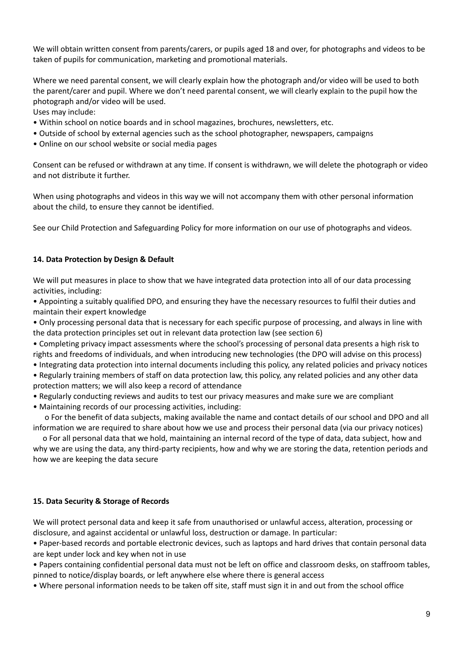We will obtain written consent from parents/carers, or pupils aged 18 and over, for photographs and videos to be taken of pupils for communication, marketing and promotional materials.

Where we need parental consent, we will clearly explain how the photograph and/or video will be used to both the parent/carer and pupil. Where we don't need parental consent, we will clearly explain to the pupil how the photograph and/or video will be used.

Uses may include:

- Within school on notice boards and in school magazines, brochures, newsletters, etc.
- Outside of school by external agencies such as the school photographer, newspapers, campaigns
- Online on our school website or social media pages

Consent can be refused or withdrawn at any time. If consent is withdrawn, we will delete the photograph or video and not distribute it further.

When using photographs and videos in this way we will not accompany them with other personal information about the child, to ensure they cannot be identified.

See our Child Protection and Safeguarding Policy for more information on our use of photographs and videos.

## **14. Data Protection by Design & Default**

We will put measures in place to show that we have integrated data protection into all of our data processing activities, including:

• Appointing a suitably qualified DPO, and ensuring they have the necessary resources to fulfil their duties and maintain their expert knowledge

• Only processing personal data that is necessary for each specific purpose of processing, and always in line with the data protection principles set out in relevant data protection law (see section 6)

• Completing privacy impact assessments where the school's processing of personal data presents a high risk to rights and freedoms of individuals, and when introducing new technologies (the DPO will advise on this process)

• Integrating data protection into internal documents including this policy, any related policies and privacy notices • Regularly training members of staff on data protection law, this policy, any related policies and any other data

- protection matters; we will also keep a record of attendance • Regularly conducting reviews and audits to test our privacy measures and make sure we are compliant
- Maintaining records of our processing activities, including:

o For the benefit of data subjects, making available the name and contact details of our school and DPO and all information we are required to share about how we use and process their personal data (via our privacy notices)

o For all personal data that we hold, maintaining an internal record of the type of data, data subject, how and why we are using the data, any third-party recipients, how and why we are storing the data, retention periods and how we are keeping the data secure

## **15. Data Security & Storage of Records**

We will protect personal data and keep it safe from unauthorised or unlawful access, alteration, processing or disclosure, and against accidental or unlawful loss, destruction or damage. In particular:

• Paper-based records and portable electronic devices, such as laptops and hard drives that contain personal data are kept under lock and key when not in use

• Papers containing confidential personal data must not be left on office and classroom desks, on staffroom tables, pinned to notice/display boards, or left anywhere else where there is general access

• Where personal information needs to be taken off site, staff must sign it in and out from the school office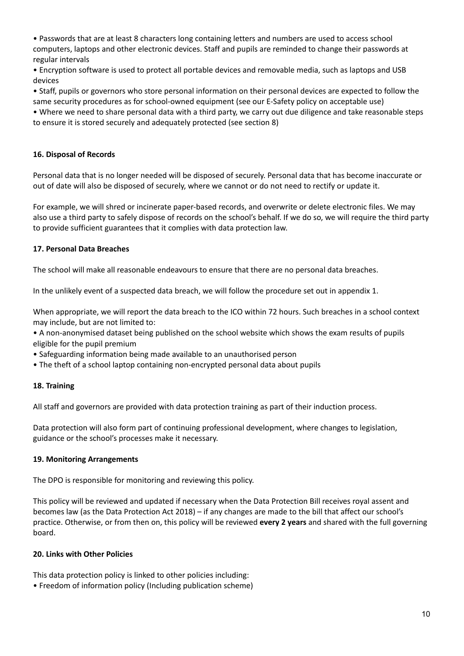• Passwords that are at least 8 characters long containing letters and numbers are used to access school computers, laptops and other electronic devices. Staff and pupils are reminded to change their passwords at regular intervals

• Encryption software is used to protect all portable devices and removable media, such as laptops and USB devices

• Staff, pupils or governors who store personal information on their personal devices are expected to follow the same security procedures as for school-owned equipment (see our E-Safety policy on acceptable use)

• Where we need to share personal data with a third party, we carry out due diligence and take reasonable steps to ensure it is stored securely and adequately protected (see section 8)

## **16. Disposal of Records**

Personal data that is no longer needed will be disposed of securely. Personal data that has become inaccurate or out of date will also be disposed of securely, where we cannot or do not need to rectify or update it.

For example, we will shred or incinerate paper-based records, and overwrite or delete electronic files. We may also use a third party to safely dispose of records on the school's behalf. If we do so, we will require the third party to provide sufficient guarantees that it complies with data protection law.

## **17. Personal Data Breaches**

The school will make all reasonable endeavours to ensure that there are no personal data breaches.

In the unlikely event of a suspected data breach, we will follow the procedure set out in appendix 1.

When appropriate, we will report the data breach to the ICO within 72 hours. Such breaches in a school context may include, but are not limited to:

• A non-anonymised dataset being published on the school website which shows the exam results of pupils eligible for the pupil premium

- Safeguarding information being made available to an unauthorised person
- The theft of a school laptop containing non-encrypted personal data about pupils

#### **18. Training**

All staff and governors are provided with data protection training as part of their induction process.

Data protection will also form part of continuing professional development, where changes to legislation, guidance or the school's processes make it necessary.

#### **19. Monitoring Arrangements**

The DPO is responsible for monitoring and reviewing this policy.

This policy will be reviewed and updated if necessary when the Data Protection Bill receives royal assent and becomes law (as the Data Protection Act 2018) – if any changes are made to the bill that affect our school's practice. Otherwise, or from then on, this policy will be reviewed **every 2 years** and shared with the full governing board.

#### **20. Links with Other Policies**

This data protection policy is linked to other policies including:

• Freedom of information policy (Including publication scheme)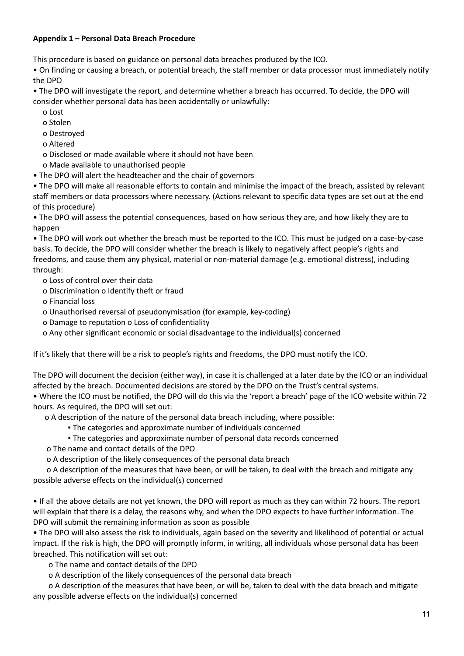## **Appendix 1 – Personal Data Breach Procedure**

This procedure is based on guidance on personal data breaches produced by the ICO.

• On finding or causing a breach, or potential breach, the staff member or data processor must immediately notify the DPO

• The DPO will investigate the report, and determine whether a breach has occurred. To decide, the DPO will consider whether personal data has been accidentally or unlawfully:

- o Lost
- o Stolen
- o Destroyed
- o Altered
- o Disclosed or made available where it should not have been
- o Made available to unauthorised people
- The DPO will alert the headteacher and the chair of governors

• The DPO will make all reasonable efforts to contain and minimise the impact of the breach, assisted by relevant staff members or data processors where necessary. (Actions relevant to specific data types are set out at the end of this procedure)

• The DPO will assess the potential consequences, based on how serious they are, and how likely they are to happen

• The DPO will work out whether the breach must be reported to the ICO. This must be judged on a case-by-case basis. To decide, the DPO will consider whether the breach is likely to negatively affect people's rights and freedoms, and cause them any physical, material or non-material damage (e.g. emotional distress), including through:

o Loss of control over their data

o Discrimination o Identify theft or fraud

o Financial loss

- o Unauthorised reversal of pseudonymisation (for example, key-coding)
- o Damage to reputation o Loss of confidentiality
- o Any other significant economic or social disadvantage to the individual(s) concerned

If it's likely that there will be a risk to people's rights and freedoms, the DPO must notify the ICO.

The DPO will document the decision (either way), in case it is challenged at a later date by the ICO or an individual affected by the breach. Documented decisions are stored by the DPO on the Trust's central systems.

• Where the ICO must be notified, the DPO will do this via the 'report a breach' page of the ICO website within 72 hours. As required, the DPO will set out:

o A description of the nature of the personal data breach including, where possible:

- The categories and approximate number of individuals concerned
- The categories and approximate number of personal data records concerned
- o The name and contact details of the DPO
- o A description of the likely consequences of the personal data breach

o A description of the measures that have been, or will be taken, to deal with the breach and mitigate any possible adverse effects on the individual(s) concerned

• If all the above details are not yet known, the DPO will report as much as they can within 72 hours. The report will explain that there is a delay, the reasons why, and when the DPO expects to have further information. The DPO will submit the remaining information as soon as possible

• The DPO will also assess the risk to individuals, again based on the severity and likelihood of potential or actual impact. If the risk is high, the DPO will promptly inform, in writing, all individuals whose personal data has been breached. This notification will set out:

o The name and contact details of the DPO

o A description of the likely consequences of the personal data breach

o A description of the measures that have been, or will be, taken to deal with the data breach and mitigate any possible adverse effects on the individual(s) concerned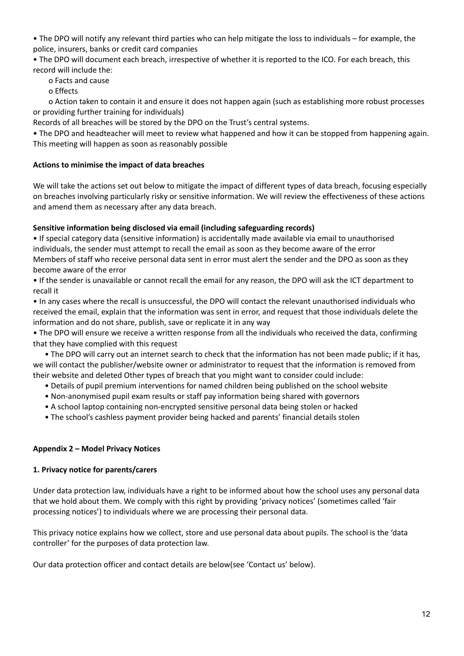• The DPO will notify any relevant third parties who can help mitigate the loss to individuals – for example, the police, insurers, banks or credit card companies

• The DPO will document each breach, irrespective of whether it is reported to the ICO. For each breach, this record will include the:

o Facts and cause

o Effects

o Action taken to contain it and ensure it does not happen again (such as establishing more robust processes or providing further training for individuals)

Records of all breaches will be stored by the DPO on the Trust's central systems.

• The DPO and headteacher will meet to review what happened and how it can be stopped from happening again. This meeting will happen as soon as reasonably possible

## **Actions to minimise the impact of data breaches**

We will take the actions set out below to mitigate the impact of different types of data breach, focusing especially on breaches involving particularly risky or sensitive information. We will review the effectiveness of these actions and amend them as necessary after any data breach.

## **Sensitive information being disclosed via email (including safeguarding records)**

• If special category data (sensitive information) is accidentally made available via email to unauthorised individuals, the sender must attempt to recall the email as soon as they become aware of the error Members of staff who receive personal data sent in error must alert the sender and the DPO as soon as they become aware of the error

• If the sender is unavailable or cannot recall the email for any reason, the DPO will ask the ICT department to recall it

• In any cases where the recall is unsuccessful, the DPO will contact the relevant unauthorised individuals who received the email, explain that the information was sent in error, and request that those individuals delete the information and do not share, publish, save or replicate it in any way

• The DPO will ensure we receive a written response from all the individuals who received the data, confirming that they have complied with this request

• The DPO will carry out an internet search to check that the information has not been made public; if it has, we will contact the publisher/website owner or administrator to request that the information is removed from their website and deleted Other types of breach that you might want to consider could include:

- Details of pupil premium interventions for named children being published on the school website
- Non-anonymised pupil exam results or staff pay information being shared with governors
- A school laptop containing non-encrypted sensitive personal data being stolen or hacked
- The school's cashless payment provider being hacked and parents' financial details stolen

#### **Appendix 2 – Model Privacy Notices**

#### **1. Privacy notice for parents/carers**

Under data protection law, individuals have a right to be informed about how the school uses any personal data that we hold about them. We comply with this right by providing 'privacy notices' (sometimes called 'fair processing notices') to individuals where we are processing their personal data.

This privacy notice explains how we collect, store and use personal data about pupils. The school is the 'data controller' for the purposes of data protection law.

Our data protection officer and contact details are below(see 'Contact us' below).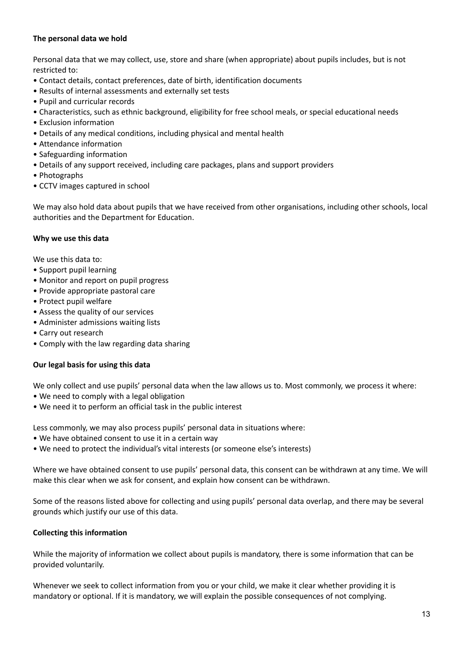## **The personal data we hold**

Personal data that we may collect, use, store and share (when appropriate) about pupils includes, but is not restricted to:

- Contact details, contact preferences, date of birth, identification documents
- Results of internal assessments and externally set tests
- Pupil and curricular records
- Characteristics, such as ethnic background, eligibility for free school meals, or special educational needs
- Exclusion information
- Details of any medical conditions, including physical and mental health
- Attendance information
- Safeguarding information
- Details of any support received, including care packages, plans and support providers
- Photographs
- CCTV images captured in school

We may also hold data about pupils that we have received from other organisations, including other schools, local authorities and the Department for Education.

#### **Why we use this data**

We use this data to:

- Support pupil learning
- Monitor and report on pupil progress
- Provide appropriate pastoral care
- Protect pupil welfare
- Assess the quality of our services
- Administer admissions waiting lists
- Carry out research
- Comply with the law regarding data sharing

#### **Our legal basis for using this data**

We only collect and use pupils' personal data when the law allows us to. Most commonly, we process it where:

- We need to comply with a legal obligation
- We need it to perform an official task in the public interest

Less commonly, we may also process pupils' personal data in situations where:

- We have obtained consent to use it in a certain way
- We need to protect the individual's vital interests (or someone else's interests)

Where we have obtained consent to use pupils' personal data, this consent can be withdrawn at any time. We will make this clear when we ask for consent, and explain how consent can be withdrawn.

Some of the reasons listed above for collecting and using pupils' personal data overlap, and there may be several grounds which justify our use of this data.

## **Collecting this information**

While the majority of information we collect about pupils is mandatory, there is some information that can be provided voluntarily.

Whenever we seek to collect information from you or your child, we make it clear whether providing it is mandatory or optional. If it is mandatory, we will explain the possible consequences of not complying.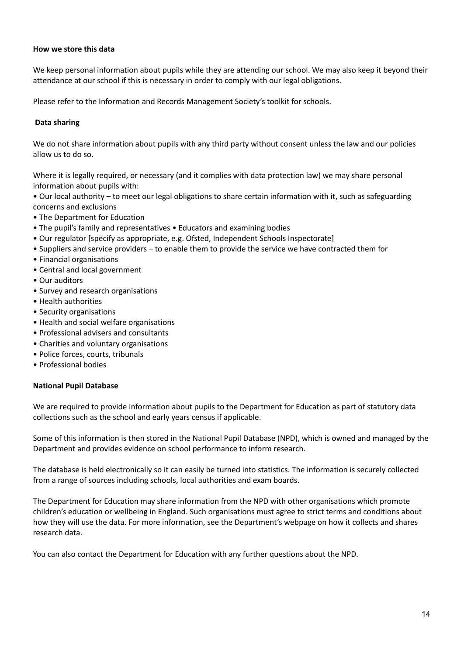# **How we store this data**

We keep personal information about pupils while they are attending our school. We may also keep it beyond their attendance at our school if this is necessary in order to comply with our legal obligations.

Please refer to the Information and Records Management Society's toolkit for schools.

## **Data sharing**

We do not share information about pupils with any third party without consent unless the law and our policies allow us to do so.

Where it is legally required, or necessary (and it complies with data protection law) we may share personal information about pupils with:

• Our local authority – to meet our legal obligations to share certain information with it, such as safeguarding concerns and exclusions

- The Department for Education
- The pupil's family and representatives Educators and examining bodies
- Our regulator [specify as appropriate, e.g. Ofsted, Independent Schools Inspectorate]
- Suppliers and service providers to enable them to provide the service we have contracted them for
- Financial organisations
- Central and local government
- Our auditors
- Survey and research organisations
- Health authorities
- Security organisations
- Health and social welfare organisations
- Professional advisers and consultants
- Charities and voluntary organisations
- Police forces, courts, tribunals
- Professional bodies

#### **National Pupil Database**

We are required to provide information about pupils to the Department for Education as part of statutory data collections such as the school and early years census if applicable.

Some of this information is then stored in the National Pupil Database (NPD), which is owned and managed by the Department and provides evidence on school performance to inform research.

The database is held electronically so it can easily be turned into statistics. The information is securely collected from a range of sources including schools, local authorities and exam boards.

The Department for Education may share information from the NPD with other organisations which promote children's education or wellbeing in England. Such organisations must agree to strict terms and conditions about how they will use the data. For more information, see the Department's webpage on how it collects and shares research data.

You can also contact the Department for Education with any further questions about the NPD.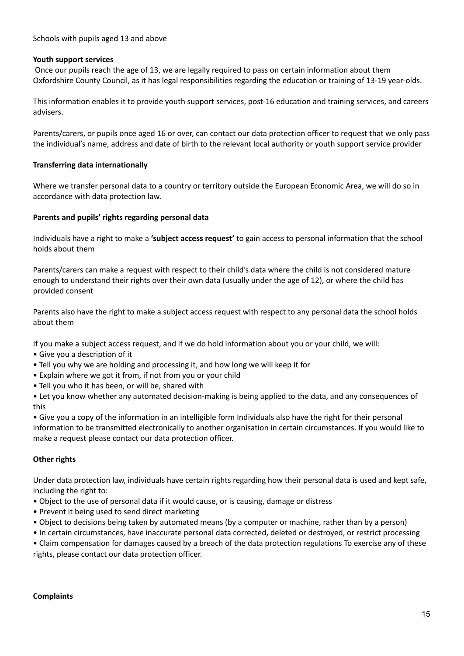## Schools with pupils aged 13 and above

#### **Youth support services**

Once our pupils reach the age of 13, we are legally required to pass on certain information about them Oxfordshire County Council, as it has legal responsibilities regarding the education or training of 13-19 year-olds.

This information enables it to provide youth support services, post-16 education and training services, and careers advisers.

Parents/carers, or pupils once aged 16 or over, can contact our data protection officer to request that we only pass the individual's name, address and date of birth to the relevant local authority or youth support service provider

#### **Transferring data internationally**

Where we transfer personal data to a country or territory outside the European Economic Area, we will do so in accordance with data protection law.

#### **Parents and pupils' rights regarding personal data**

Individuals have a right to make a **'subject access request'** to gain access to personal information that the school holds about them

Parents/carers can make a request with respect to their child's data where the child is not considered mature enough to understand their rights over their own data (usually under the age of 12), or where the child has provided consent

Parents also have the right to make a subject access request with respect to any personal data the school holds about them

If you make a subject access request, and if we do hold information about you or your child, we will:

- Give you a description of it
- Tell you why we are holding and processing it, and how long we will keep it for
- Explain where we got it from, if not from you or your child
- Tell you who it has been, or will be, shared with

• Let you know whether any automated decision-making is being applied to the data, and any consequences of this

• Give you a copy of the information in an intelligible form Individuals also have the right for their personal information to be transmitted electronically to another organisation in certain circumstances. If you would like to make a request please contact our data protection officer.

#### **Other rights**

Under data protection law, individuals have certain rights regarding how their personal data is used and kept safe, including the right to:

- Object to the use of personal data if it would cause, or is causing, damage or distress
- Prevent it being used to send direct marketing
- Object to decisions being taken by automated means (by a computer or machine, rather than by a person)
- In certain circumstances, have inaccurate personal data corrected, deleted or destroyed, or restrict processing

• Claim compensation for damages caused by a breach of the data protection regulations To exercise any of these rights, please contact our data protection officer.

#### **Complaints**